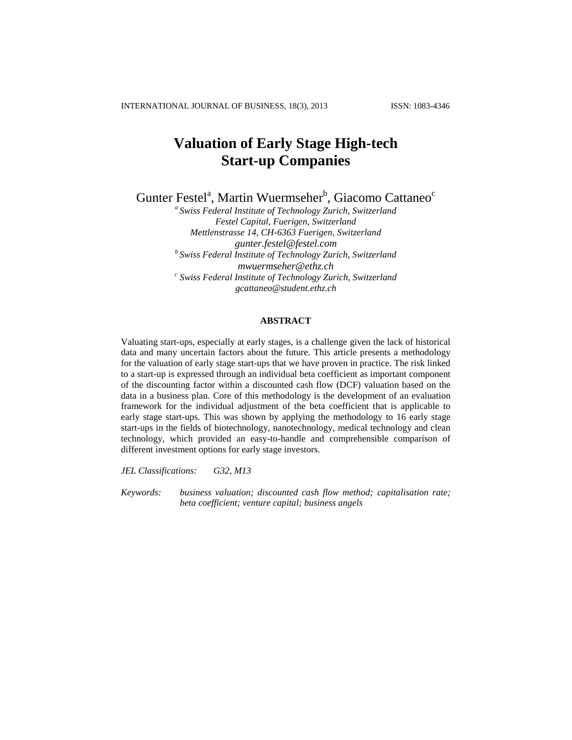INTERNATIONAL JOURNAL OF BUSINESS, 18(3), 2013 ISSN: 1083-4346

# **Valuation of Early Stage High-tech Start-up Companies**

Gunter Festel<sup>a</sup>, Martin Wuermseher<sup>b</sup>, Giacomo Cattaneo<sup>c</sup>

*a Swiss Federal Institute of Technology Zurich, Switzerland Festel Capital, Fuerigen, Switzerland Mettlenstrasse 14, CH-6363 Fuerigen, Switzerland gunter.festel@festel.com b Swiss Federal Institute of Technology Zurich, Switzerland [mwuermseher@ethz.ch](mailto:mwuermseher@ethz.ch) c Swiss Federal Institute of Technology Zurich, Switzerland [gcattaneo@student.ethz.ch](mailto:gcattaneo@student.ethz.ch)*

#### **ABSTRACT**

Valuating start-ups, especially at early stages, is a challenge given the lack of historical data and many uncertain factors about the future. This article presents a methodology for the valuation of early stage start-ups that we have proven in practice. The risk linked to a start-up is expressed through an individual beta coefficient as important component of the discounting factor within a discounted cash flow (DCF) valuation based on the data in a business plan. Core of this methodology is the development of an evaluation framework for the individual adjustment of the beta coefficient that is applicable to early stage start-ups. This was shown by applying the methodology to 16 early stage start-ups in the fields of biotechnology, nanotechnology, medical technology and clean technology, which provided an easy-to-handle and comprehensible comparison of different investment options for early stage investors.

*JEL Classifications: G32, M13*

*Keywords: business valuation; discounted cash flow method; capitalisation rate; beta coefficient; venture capital; business angels*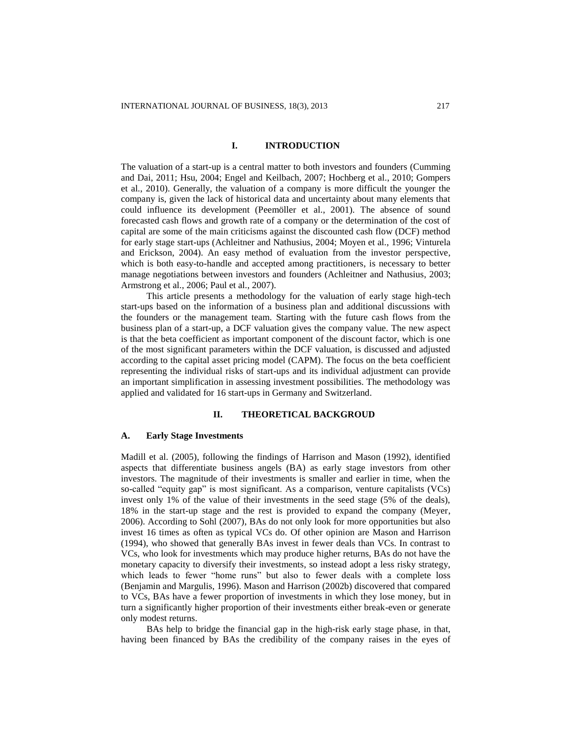## **I. INTRODUCTION**

The valuation of a start-up is a central matter to both investors and founders (Cumming and Dai, 2011; Hsu, 2004; Engel and Keilbach, 2007; Hochberg et al., 2010; Gompers et al., 2010). Generally, the valuation of a company is more difficult the younger the company is, given the lack of historical data and uncertainty about many elements that could influence its development (Peemöller et al., 2001). The absence of sound forecasted cash flows and growth rate of a company or the determination of the cost of capital are some of the main criticisms against the discounted cash flow (DCF) method for early stage start-ups (Achleitner and Nathusius, 2004; Moyen et al., 1996; Vinturela and Erickson, 2004). An easy method of evaluation from the investor perspective, which is both easy-to-handle and accepted among practitioners, is necessary to better manage negotiations between investors and founders (Achleitner and Nathusius, 2003; Armstrong et al., 2006; Paul et al., 2007).

This article presents a methodology for the valuation of early stage high-tech start-ups based on the information of a business plan and additional discussions with the founders or the management team. Starting with the future cash flows from the business plan of a start-up, a DCF valuation gives the company value. The new aspect is that the beta coefficient as important component of the discount factor, which is one of the most significant parameters within the DCF valuation, is discussed and adjusted according to the capital asset pricing model (CAPM). The focus on the beta coefficient representing the individual risks of start-ups and its individual adjustment can provide an important simplification in assessing investment possibilities. The methodology was applied and validated for 16 start-ups in Germany and Switzerland.

#### **II. THEORETICAL BACKGROUD**

#### **A. Early Stage Investments**

Madill et al. (2005), following the findings of Harrison and Mason (1992), identified aspects that differentiate business angels (BA) as early stage investors from other investors. The magnitude of their investments is smaller and earlier in time, when the so-called "equity gap" is most significant. As a comparison, venture capitalists (VCs) invest only 1% of the value of their investments in the seed stage (5% of the deals), 18% in the start-up stage and the rest is provided to expand the company (Meyer, 2006). According to Sohl (2007), BAs do not only look for more opportunities but also invest 16 times as often as typical VCs do. Of other opinion are Mason and Harrison (1994), who showed that generally BAs invest in fewer deals than VCs. In contrast to VCs, who look for investments which may produce higher returns, BAs do not have the monetary capacity to diversify their investments, so instead adopt a less risky strategy, which leads to fewer "home runs" but also to fewer deals with a complete loss (Benjamin and Margulis, 1996). Mason and Harrison (2002b) discovered that compared to VCs, BAs have a fewer proportion of investments in which they lose money, but in turn a significantly higher proportion of their investments either break-even or generate only modest returns.

BAs help to bridge the financial gap in the high-risk early stage phase, in that, having been financed by BAs the credibility of the company raises in the eyes of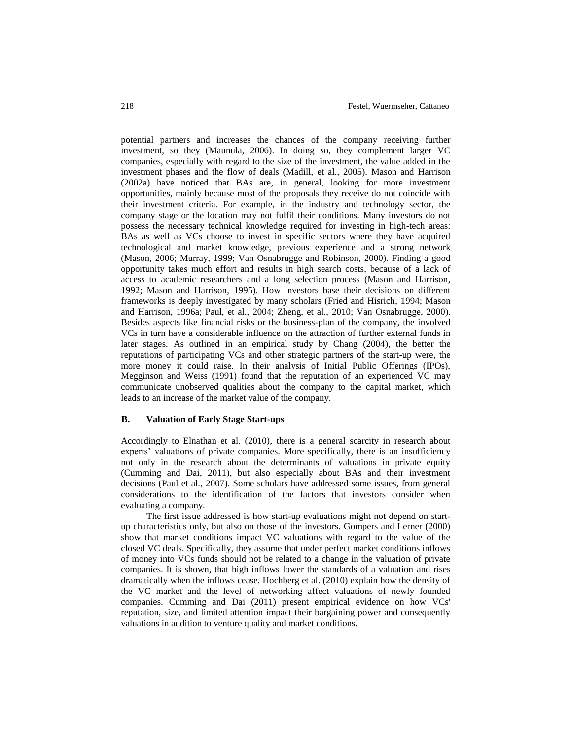potential partners and increases the chances of the company receiving further investment, so they (Maunula, 2006). In doing so, they complement larger VC companies, especially with regard to the size of the investment, the value added in the investment phases and the flow of deals (Madill, et al., 2005). Mason and Harrison (2002a) have noticed that BAs are, in general, looking for more investment opportunities, mainly because most of the proposals they receive do not coincide with their investment criteria. For example, in the industry and technology sector, the company stage or the location may not fulfil their conditions. Many investors do not possess the necessary technical knowledge required for investing in high-tech areas: BAs as well as VCs choose to invest in specific sectors where they have acquired technological and market knowledge, previous experience and a strong network (Mason, 2006; Murray, 1999; Van Osnabrugge and Robinson, 2000). Finding a good opportunity takes much effort and results in high search costs, because of a lack of access to academic researchers and a long selection process (Mason and Harrison, 1992; Mason and Harrison, 1995). How investors base their decisions on different frameworks is deeply investigated by many scholars (Fried and Hisrich, 1994; Mason and Harrison, 1996a; Paul, et al., 2004; Zheng, et al., 2010; Van Osnabrugge, 2000). Besides aspects like financial risks or the business-plan of the company, the involved VCs in turn have a considerable influence on the attraction of further external funds in later stages. As outlined in an empirical study by Chang (2004), the better the reputations of participating VCs and other strategic partners of the start-up were, the more money it could raise. In their analysis of Initial Public Offerings (IPOs), Megginson and Weiss (1991) found that the reputation of an experienced VC may communicate unobserved qualities about the company to the capital market, which leads to an increase of the market value of the company.

## **B. Valuation of Early Stage Start-ups**

Accordingly to Elnathan et al. (2010), there is a general scarcity in research about experts' valuations of private companies. More specifically, there is an insufficiency not only in the research about the determinants of valuations in private equity (Cumming and Dai, 2011), but also especially about BAs and their investment decisions (Paul et al., 2007). Some scholars have addressed some issues, from general considerations to the identification of the factors that investors consider when evaluating a company.

The first issue addressed is how start-up evaluations might not depend on startup characteristics only, but also on those of the investors. Gompers and Lerner (2000) show that market conditions impact VC valuations with regard to the value of the closed VC deals. Specifically, they assume that under perfect market conditions inflows of money into VCs funds should not be related to a change in the valuation of private companies. It is shown, that high inflows lower the standards of a valuation and rises dramatically when the inflows cease. Hochberg et al. (2010) explain how the density of the VC market and the level of networking affect valuations of newly founded companies. Cumming and Dai (2011) present empirical evidence on how VCs' reputation, size, and limited attention impact their bargaining power and consequently valuations in addition to venture quality and market conditions.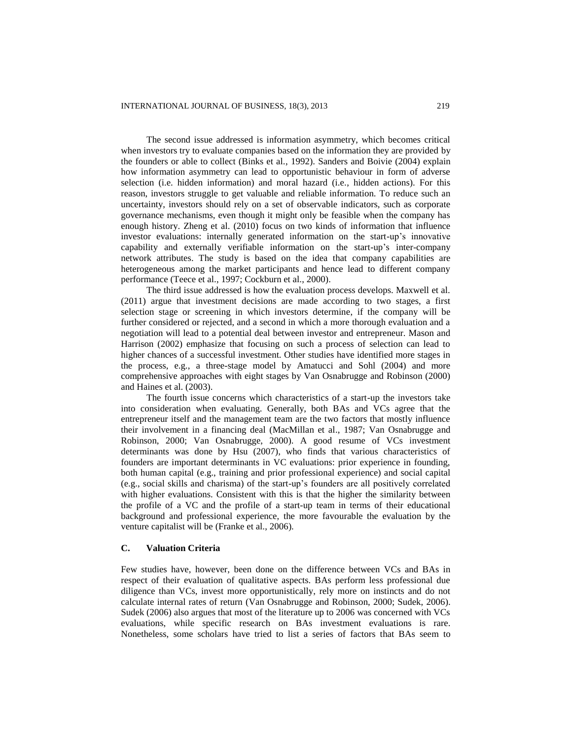The second issue addressed is information asymmetry, which becomes critical when investors try to evaluate companies based on the information they are provided by the founders or able to collect (Binks et al., 1992). Sanders and Boivie (2004) explain how information asymmetry can lead to opportunistic behaviour in form of adverse selection (i.e. hidden information) and moral hazard (i.e., hidden actions). For this reason, investors struggle to get valuable and reliable information. To reduce such an uncertainty, investors should rely on a set of observable indicators, such as corporate governance mechanisms, even though it might only be feasible when the company has enough history. Zheng et al. (2010) focus on two kinds of information that influence investor evaluations: internally generated information on the start-up's innovative capability and externally verifiable information on the start-up's inter-company network attributes. The study is based on the idea that company capabilities are heterogeneous among the market participants and hence lead to different company performance (Teece et al., 1997; Cockburn et al., 2000).

The third issue addressed is how the evaluation process develops. Maxwell et al. (2011) argue that investment decisions are made according to two stages, a first selection stage or screening in which investors determine, if the company will be further considered or rejected, and a second in which a more thorough evaluation and a negotiation will lead to a potential deal between investor and entrepreneur. Mason and Harrison (2002) emphasize that focusing on such a process of selection can lead to higher chances of a successful investment. Other studies have identified more stages in the process, e.g., a three-stage model by Amatucci and Sohl (2004) and more comprehensive approaches with eight stages by Van Osnabrugge and Robinson (2000) and Haines et al. (2003).

The fourth issue concerns which characteristics of a start-up the investors take into consideration when evaluating. Generally, both BAs and VCs agree that the entrepreneur itself and the management team are the two factors that mostly influence their involvement in a financing deal (MacMillan et al., 1987; Van Osnabrugge and Robinson, 2000; Van Osnabrugge, 2000). A good resume of VCs investment determinants was done by Hsu (2007), who finds that various characteristics of founders are important determinants in VC evaluations: prior experience in founding, both human capital (e.g., training and prior professional experience) and social capital (e.g., social skills and charisma) of the start-up's founders are all positively correlated with higher evaluations. Consistent with this is that the higher the similarity between the profile of a VC and the profile of a start-up team in terms of their educational background and professional experience, the more favourable the evaluation by the venture capitalist will be (Franke et al., 2006).

## **C. Valuation Criteria**

Few studies have, however, been done on the difference between VCs and BAs in respect of their evaluation of qualitative aspects. BAs perform less professional due diligence than VCs, invest more opportunistically, rely more on instincts and do not calculate internal rates of return (Van Osnabrugge and Robinson, 2000; Sudek, 2006). Sudek (2006) also argues that most of the literature up to 2006 was concerned with VCs evaluations, while specific research on BAs investment evaluations is rare. Nonetheless, some scholars have tried to list a series of factors that BAs seem to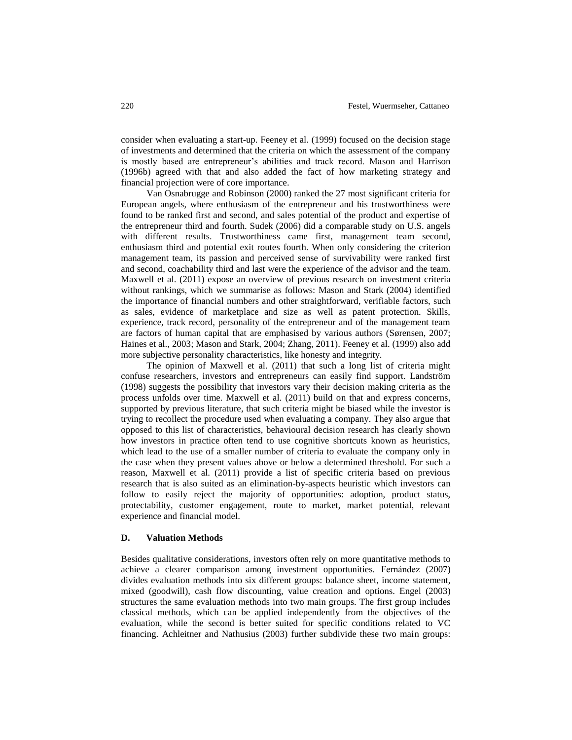consider when evaluating a start-up. Feeney et al. (1999) focused on the decision stage of investments and determined that the criteria on which the assessment of the company is mostly based are entrepreneur's abilities and track record. Mason and Harrison (1996b) agreed with that and also added the fact of how marketing strategy and financial projection were of core importance.

Van Osnabrugge and Robinson (2000) ranked the 27 most significant criteria for European angels, where enthusiasm of the entrepreneur and his trustworthiness were found to be ranked first and second, and sales potential of the product and expertise of the entrepreneur third and fourth. Sudek (2006) did a comparable study on U.S. angels with different results. Trustworthiness came first, management team second, enthusiasm third and potential exit routes fourth. When only considering the criterion management team, its passion and perceived sense of survivability were ranked first and second, coachability third and last were the experience of the advisor and the team. Maxwell et al. (2011) expose an overview of previous research on investment criteria without rankings, which we summarise as follows: Mason and Stark (2004) identified the importance of financial numbers and other straightforward, verifiable factors, such as sales, evidence of marketplace and size as well as patent protection. Skills, experience, track record, personality of the entrepreneur and of the management team are factors of human capital that are emphasised by various authors (Sørensen, 2007; Haines et al., 2003; Mason and Stark, 2004; Zhang, 2011). Feeney et al. (1999) also add more subjective personality characteristics, like honesty and integrity.

The opinion of Maxwell et al. (2011) that such a long list of criteria might confuse researchers, investors and entrepreneurs can easily find support. Landström (1998) suggests the possibility that investors vary their decision making criteria as the process unfolds over time. Maxwell et al. (2011) build on that and express concerns, supported by previous literature, that such criteria might be biased while the investor is trying to recollect the procedure used when evaluating a company. They also argue that opposed to this list of characteristics, behavioural decision research has clearly shown how investors in practice often tend to use cognitive shortcuts known as heuristics, which lead to the use of a smaller number of criteria to evaluate the company only in the case when they present values above or below a determined threshold. For such a reason, Maxwell et al. (2011) provide a list of specific criteria based on previous research that is also suited as an elimination-by-aspects heuristic which investors can follow to easily reject the majority of opportunities: adoption, product status, protectability, customer engagement, route to market, market potential, relevant experience and financial model.

## **D. Valuation Methods**

Besides qualitative considerations, investors often rely on more quantitative methods to achieve a clearer comparison among investment opportunities. Fernández (2007) divides evaluation methods into six different groups: balance sheet, income statement, mixed (goodwill), cash flow discounting, value creation and options. Engel (2003) structures the same evaluation methods into two main groups. The first group includes classical methods, which can be applied independently from the objectives of the evaluation, while the second is better suited for specific conditions related to VC financing. Achleitner and Nathusius (2003) further subdivide these two main groups: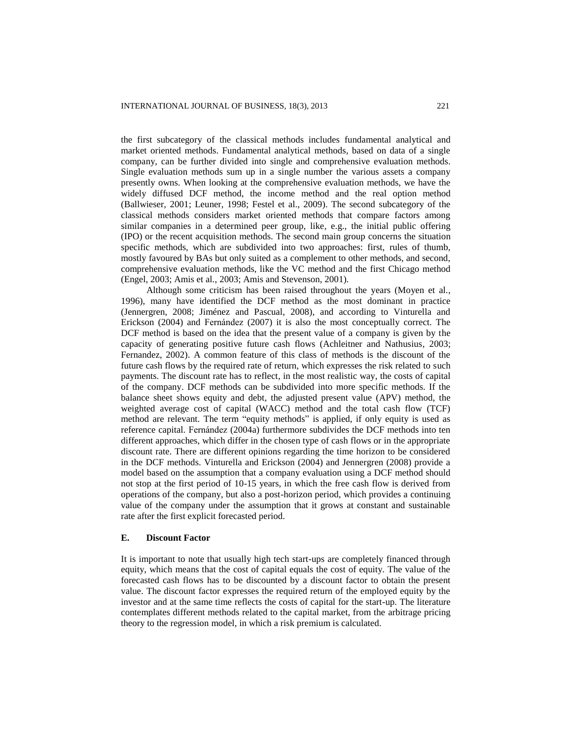the first subcategory of the classical methods includes fundamental analytical and market oriented methods. Fundamental analytical methods, based on data of a single company, can be further divided into single and comprehensive evaluation methods. Single evaluation methods sum up in a single number the various assets a company presently owns. When looking at the comprehensive evaluation methods, we have the widely diffused DCF method, the income method and the real option method (Ballwieser, 2001; Leuner, 1998; Festel et al., 2009). The second subcategory of the classical methods considers market oriented methods that compare factors among similar companies in a determined peer group, like, e.g., the initial public offering (IPO) or the recent acquisition methods. The second main group concerns the situation specific methods, which are subdivided into two approaches: first, rules of thumb, mostly favoured by BAs but only suited as a complement to other methods, and second, comprehensive evaluation methods, like the VC method and the first Chicago method (Engel, 2003; Amis et al., 2003; Amis and Stevenson, 2001).

Although some criticism has been raised throughout the years (Moyen et al., 1996), many have identified the DCF method as the most dominant in practice (Jennergren, 2008; Jiménez and Pascual, 2008), and according to Vinturella and Erickson  $(2004)$  and Fernández  $(2007)$  it is also the most conceptually correct. The DCF method is based on the idea that the present value of a company is given by the capacity of generating positive future cash flows (Achleitner and Nathusius, 2003; Fernandez, 2002). A common feature of this class of methods is the discount of the future cash flows by the required rate of return, which expresses the risk related to such payments. The discount rate has to reflect, in the most realistic way, the costs of capital of the company. DCF methods can be subdivided into more specific methods. If the balance sheet shows equity and debt, the adjusted present value (APV) method, the weighted average cost of capital (WACC) method and the total cash flow (TCF) method are relevant. The term "equity methods" is applied, if only equity is used as reference capital. Fernández (2004a) furthermore subdivides the DCF methods into ten different approaches, which differ in the chosen type of cash flows or in the appropriate discount rate. There are different opinions regarding the time horizon to be considered in the DCF methods. Vinturella and Erickson (2004) and Jennergren (2008) provide a model based on the assumption that a company evaluation using a DCF method should not stop at the first period of 10-15 years, in which the free cash flow is derived from operations of the company, but also a post-horizon period, which provides a continuing value of the company under the assumption that it grows at constant and sustainable rate after the first explicit forecasted period.

## **E. Discount Factor**

It is important to note that usually high tech start-ups are completely financed through equity, which means that the cost of capital equals the cost of equity. The value of the forecasted cash flows has to be discounted by a discount factor to obtain the present value. The discount factor expresses the required return of the employed equity by the investor and at the same time reflects the costs of capital for the start-up. The literature contemplates different methods related to the capital market, from the arbitrage pricing theory to the regression model, in which a risk premium is calculated.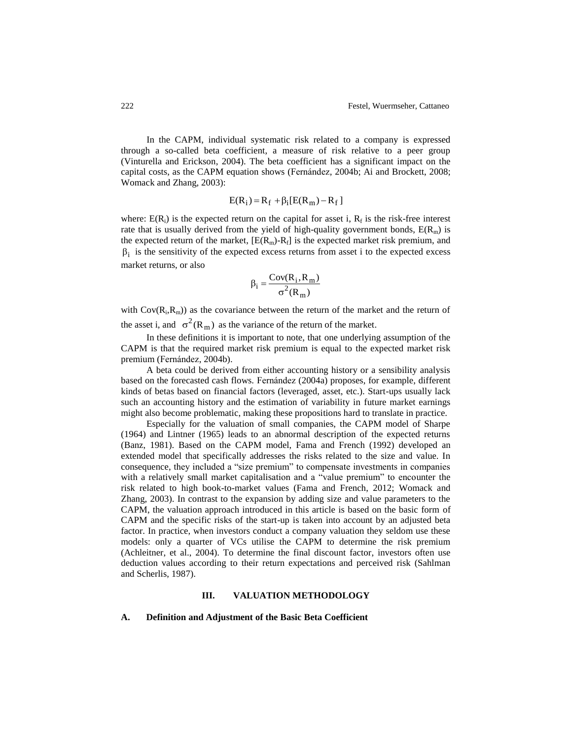In the CAPM, individual systematic risk related to a company is expressed through a so-called beta coefficient, a measure of risk relative to a peer group (Vinturella and Erickson, 2004). The beta coefficient has a significant impact on the capital costs, as the CAPM equation shows (Fernandez, 2004b; Ai and Brockett, 2008; Womack and Zhang, 2003):

$$
E(R_i) = R_f + \beta_i [E(R_m) - R_f]
$$

where:  $E(R_i)$  is the expected return on the capital for asset i,  $R_f$  is the risk-free interest rate that is usually derived from the yield of high-quality government bonds,  $E(R_m)$  is the expected return of the market,  $[E(R_m)-R_f]$  is the expected market risk premium, and  $\beta_i$  is the sensitivity of the expected excess returns from asset i to the expected excess market returns, or also

$$
\beta_i = \frac{Cov(R_i, R_m)}{\sigma^2(R_m)}
$$

with  $Cov(R_i, R_m)$  as the covariance between the return of the market and the return of the asset i, and  $\sigma^2(R_m)$  as the variance of the return of the market.

In these definitions it is important to note, that one underlying assumption of the CAPM is that the required market risk premium is equal to the expected market risk premium (Fernández, 2004b).

A beta could be derived from either accounting history or a sensibility analysis based on the forecasted cash flows. Fernández (2004a) proposes, for example, different kinds of betas based on financial factors (leveraged, asset, etc.). Start-ups usually lack such an accounting history and the estimation of variability in future market earnings might also become problematic, making these propositions hard to translate in practice.

Especially for the valuation of small companies, the CAPM model of Sharpe (1964) and Lintner (1965) leads to an abnormal description of the expected returns (Banz, 1981). Based on the CAPM model, Fama and French (1992) developed an extended model that specifically addresses the risks related to the size and value. In consequence, they included a "size premium" to compensate investments in companies with a relatively small market capitalisation and a "value premium" to encounter the risk related to high book-to-market values (Fama and French, 2012; Womack and Zhang, 2003). In contrast to the expansion by adding size and value parameters to the CAPM, the valuation approach introduced in this article is based on the basic form of CAPM and the specific risks of the start-up is taken into account by an adjusted beta factor. In practice, when investors conduct a company valuation they seldom use these models: only a quarter of VCs utilise the CAPM to determine the risk premium (Achleitner, et al., 2004). To determine the final discount factor, investors often use deduction values according to their return expectations and perceived risk (Sahlman and Scherlis, 1987).

## **III. VALUATION METHODOLOGY**

#### **A. Definition and Adjustment of the Basic Beta Coefficient**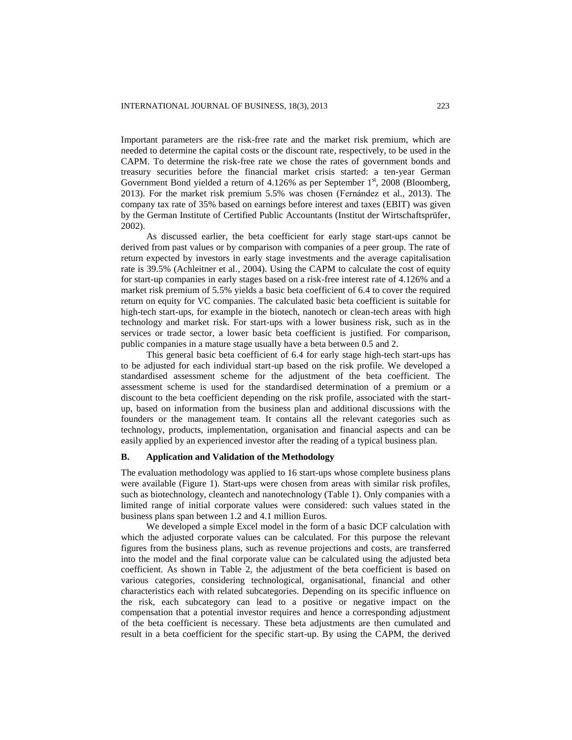Important parameters are the risk-free rate and the market risk premium, which are needed to determine the capital costs or the discount rate, respectively, to be used in the CAPM. To determine the risk-free rate we chose the rates of government bonds and treasury securities before the financial market crisis started: a ten-year German Government Bond yielded a return of  $4.126\%$  as per September  $1<sup>st</sup>$ , 2008 (Bloomberg, 2013). For the market risk premium  $5.5\%$  was chosen (Fernandez et al., 2013). The company tax rate of 35% based on earnings before interest and taxes (EBIT) was given by the German Institute of Certified Public Accountants (Institut der Wirtschaftsprüfer, 2002).

As discussed earlier, the beta coefficient for early stage start-ups cannot be derived from past values or by comparison with companies of a peer group. The rate of return expected by investors in early stage investments and the average capitalisation rate is 39.5% (Achleitner et al., 2004). Using the CAPM to calculate the cost of equity for start-up companies in early stages based on a risk-free interest rate of 4.126% and a market risk premium of 5.5% yields a basic beta coefficient of 6.4 to cover the required return on equity for VC companies. The calculated basic beta coefficient is suitable for high-tech start-ups, for example in the biotech, nanotech or clean-tech areas with high technology and market risk. For start-ups with a lower business risk, such as in the services or trade sector, a lower basic beta coefficient is justified. For comparison, public companies in a mature stage usually have a beta between 0.5 and 2.

This general basic beta coefficient of 6.4 for early stage high-tech start-ups has to be adjusted for each individual start-up based on the risk profile. We developed a standardised assessment scheme for the adjustment of the beta coefficient. The assessment scheme is used for the standardised determination of a premium or a discount to the beta coefficient depending on the risk profile, associated with the startup, based on information from the business plan and additional discussions with the founders or the management team. It contains all the relevant categories such as technology, products, implementation, organisation and financial aspects and can be easily applied by an experienced investor after the reading of a typical business plan.

#### **B. Application and Validation of the Methodology**

The evaluation methodology was applied to 16 start-ups whose complete business plans were available (Figure 1). Start-ups were chosen from areas with similar risk profiles, such as biotechnology, cleantech and nanotechnology (Table 1). Only companies with a limited range of initial corporate values were considered: such values stated in the business plans span between 1.2 and 4.1 million Euros.

We developed a simple Excel model in the form of a basic DCF calculation with which the adjusted corporate values can be calculated. For this purpose the relevant figures from the business plans, such as revenue projections and costs, are transferred into the model and the final corporate value can be calculated using the adjusted beta coefficient. As shown in Table 2, the adjustment of the beta coefficient is based on various categories, considering technological, organisational, financial and other characteristics each with related subcategories. Depending on its specific influence on the risk, each subcategory can lead to a positive or negative impact on the compensation that a potential investor requires and hence a corresponding adjustment of the beta coefficient is necessary. These beta adjustments are then cumulated and result in a beta coefficient for the specific start-up. By using the CAPM, the derived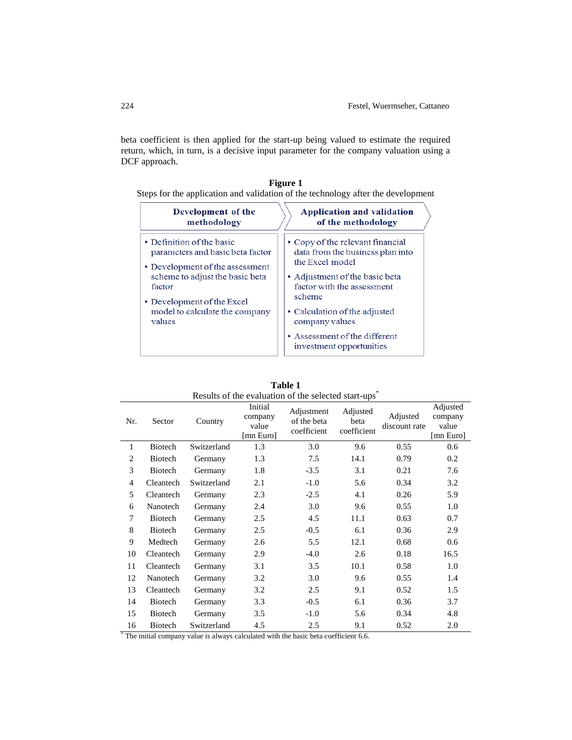beta coefficient is then applied for the start-up being valued to estimate the required return, which, in turn, is a decisive input parameter for the company valuation using a DCF approach.

| Figure 1           |                                                                                  |  |  |  |
|--------------------|----------------------------------------------------------------------------------|--|--|--|
|                    | Steps for the application and validation of the technology after the development |  |  |  |
| Development of the | <b>Application and validation</b>                                                |  |  |  |

| Development of the               | дррисации ана танаации                                    |  |  |  |
|----------------------------------|-----------------------------------------------------------|--|--|--|
| methodology                      | of the methodology                                        |  |  |  |
| • Definition of the basic        | • Copy of the relevant financial                          |  |  |  |
| parameters and basic beta factor | data from the business plan into                          |  |  |  |
| • Development of the assessment  | the Excel model                                           |  |  |  |
| scheme to adjust the basic beta  | • Adjustment of the basic beta                            |  |  |  |
| factor                           | factor with the assessment                                |  |  |  |
| • Development of the Excel       | scheme                                                    |  |  |  |
| model to calculate the company   | • Calculation of the adjusted                             |  |  |  |
| values                           | company values                                            |  |  |  |
|                                  | • Assessment of the different<br>investment opportunities |  |  |  |

| Results of the evaluation of the selected start-ups |           |             |                                          |                                          |                                 |                           |                                           |
|-----------------------------------------------------|-----------|-------------|------------------------------------------|------------------------------------------|---------------------------------|---------------------------|-------------------------------------------|
| Nr.                                                 | Sector    | Country     | Initial<br>company<br>value<br>[mn Euro] | Adjustment<br>of the beta<br>coefficient | Adjusted<br>beta<br>coefficient | Adjusted<br>discount rate | Adjusted<br>company<br>value<br>[mn Euro] |
| 1                                                   | Biotech   | Switzerland | 1.3                                      | 3.0                                      | 9.6                             | 0.55                      | 0.6                                       |
| 2                                                   | Biotech   | Germany     | 1.3                                      | 7.5                                      | 14.1                            | 0.79                      | 0.2                                       |
| 3                                                   | Biotech   | Germany     | 1.8                                      | $-3.5$                                   | 3.1                             | 0.21                      | 7.6                                       |
| $\overline{4}$                                      | Cleantech | Switzerland | 2.1                                      | $-1.0$                                   | 5.6                             | 0.34                      | 3.2                                       |
| 5                                                   | Cleantech | Germany     | 2.3                                      | $-2.5$                                   | 4.1                             | 0.26                      | 5.9                                       |
| 6                                                   | Nanotech  | Germany     | 2.4                                      | 3.0                                      | 9.6                             | 0.55                      | 1.0                                       |
| 7                                                   | Biotech   | Germany     | 2.5                                      | 4.5                                      | 11.1                            | 0.63                      | 0.7                                       |
| 8                                                   | Biotech   | Germany     | 2.5                                      | $-0.5$                                   | 6.1                             | 0.36                      | 2.9                                       |
| 9                                                   | Medtech   | Germany     | 2.6                                      | 5.5                                      | 12.1                            | 0.68                      | 0.6                                       |
| 10                                                  | Cleantech | Germany     | 2.9                                      | $-4.0$                                   | 2.6                             | 0.18                      | 16.5                                      |
| 11                                                  | Cleantech | Germany     | 3.1                                      | 3.5                                      | 10.1                            | 0.58                      | 1.0                                       |
| 12                                                  | Nanotech  | Germany     | 3.2                                      | 3.0                                      | 9.6                             | 0.55                      | 1.4                                       |
| 13                                                  | Cleantech | Germany     | 3.2                                      | 2.5                                      | 9.1                             | 0.52                      | 1.5                                       |
| 14                                                  | Biotech   | Germany     | 3.3                                      | $-0.5$                                   | 6.1                             | 0.36                      | 3.7                                       |
| 15                                                  | Biotech   | Germany     | 3.5                                      | $-1.0$                                   | 5.6                             | 0.34                      | 4.8                                       |
| 16                                                  | Biotech   | Switzerland | 4.5                                      | 2.5                                      | 9.1                             | 0.52                      | 2.0                                       |

**Table 1** Results of the evaluation of the selected start-ups<sup>\*</sup>

\* The initial company value is always calculated with the basic beta coefficient 6.6.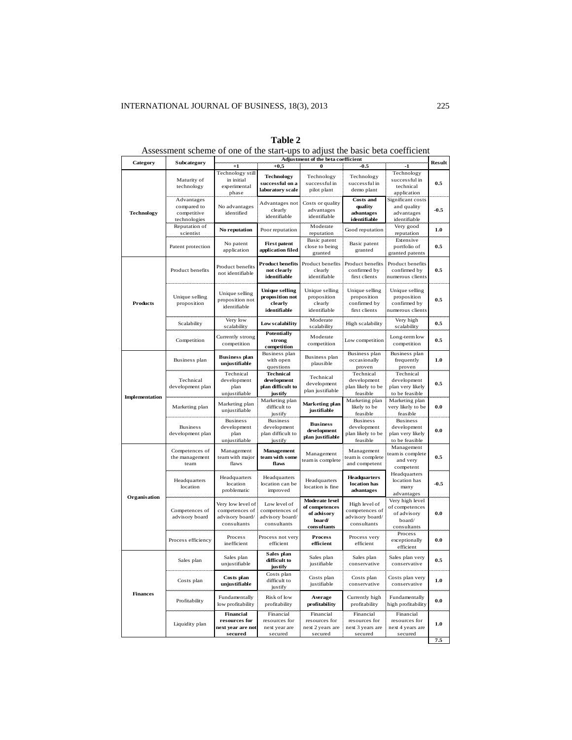|                       |                                     | Adjustment of the beta coefficient  |                                  |                                  |                                   |                                 |         |
|-----------------------|-------------------------------------|-------------------------------------|----------------------------------|----------------------------------|-----------------------------------|---------------------------------|---------|
| Category              | Subcategory                         | $^{+1}$                             | $+0,5$                           | 0                                | -0.5                              | $-1$                            | Result  |
|                       |                                     | Technology still                    | <b>Technology</b>                | Technology                       | Technology                        | Technology                      |         |
|                       | Maturity of                         | in initial                          | successful on a                  | successful in                    | successful in                     | successful in                   | 0.5     |
|                       | technology                          | experimental                        | laboratory scale                 | pilot plant                      | demo plant                        | technical<br>application        |         |
|                       | Advantages                          | phase                               |                                  |                                  | <b>Costs and</b>                  | Significant costs               |         |
|                       | compared to                         | No advantages                       | Advantages not                   | Costs or quality                 | quality                           | and quality                     |         |
| <b>Technology</b>     | competitive                         | identified                          | clearly                          | advantages                       | advantages                        | advantages                      | $-0.5$  |
|                       | technologies                        |                                     | identifiable                     | identifiable                     | identifiable                      | identifiable                    |         |
|                       | Reputation of                       | No reputation                       | Poor reputation                  | Moderate                         | Good reputation                   | Very good                       | 1.0     |
|                       | scientist                           |                                     |                                  | reputation                       |                                   | reputation                      |         |
|                       |                                     | No patent                           | <b>First patent</b>              | Basic patent                     | Basic patent                      | Extensive                       |         |
|                       | Patent protection                   | application                         | application filed                | close to being                   | granted                           | portfolio of                    | $0.5\,$ |
|                       |                                     |                                     |                                  | granted                          |                                   | granted patents                 |         |
|                       |                                     | Product benefits                    | <b>Product benefits</b>          | Product benefits                 | Product benefits                  | Product benefits                |         |
|                       | Product benefits                    | not identifiable                    | not clearly                      | clearly                          | confirmed by                      | confirmed by                    | 0.5     |
|                       |                                     |                                     | identifiable                     | identifiable                     | first clients                     | numerous clients                |         |
|                       |                                     |                                     | <b>Unique selling</b>            | Unique selling                   | Unique selling                    |                                 |         |
|                       | Unique selling                      | Unique selling                      | proposition not                  | proposition                      | proposition                       | Unique selling<br>proposition   |         |
| <b>Products</b>       | proposition                         | proposition not                     | clearly                          | clearly                          | confirmed by                      | confirmed by                    | 0.5     |
|                       |                                     | identifiable                        | identifiable                     | identifiable                     | first clients                     | numerous clients                |         |
|                       |                                     | Very low                            |                                  | Moderate                         |                                   | Very high                       |         |
|                       | Scalability                         | scalability                         | <b>Lowscalability</b>            | scalability                      | High scalability                  | scalability                     | 0.5     |
|                       |                                     |                                     | <b>Potentially</b>               |                                  |                                   |                                 |         |
|                       | Competition                         | Currently strong<br>competition     | strong                           | Moderate                         | Low competition                   | Long-term low                   | 0.5     |
|                       |                                     |                                     | competition                      | competition                      |                                   | competition                     |         |
|                       |                                     | <b>Business plan</b>                | Business plan                    | Business plan                    | Business plan                     | Business plan                   |         |
|                       | Business plan                       | unjustifiable                       | with open                        | plausible                        | occasionally                      | frequently                      | 1.0     |
|                       |                                     | Technical                           | questions<br><b>Technical</b>    |                                  | proven<br>Technical               | proven<br>Technical             |         |
|                       | Technical                           | development                         | development                      | Technical                        | development                       | development                     |         |
|                       | development plan                    | plan                                | plan difficult to                | development                      | plan likely to be                 | plan very likely                | 0.5     |
|                       |                                     | unjustifiable                       | justify                          | plan justifiable                 | feasible                          | to be feasible                  |         |
| <b>Implementation</b> |                                     |                                     | Marketing plan                   | Marketing plan                   | Marketing plan                    | Marketing plan                  |         |
|                       | Marketing plan                      | Marketing plan<br>unjustifiable     | difficult to                     | justifiable                      | likely to be                      | very likely to be               | 0.0     |
|                       |                                     |                                     | justify                          |                                  | feasible                          | feasible                        |         |
|                       |                                     | <b>Business</b>                     | <b>Business</b>                  | <b>Business</b>                  | <b>Business</b>                   | <b>Business</b>                 |         |
|                       | <b>Business</b><br>development plan | development<br>plan                 | development<br>plan difficult to | development                      | development<br>plan likely to be  | development<br>plan very likely | 0.0     |
|                       |                                     | unjustifiable                       | justify                          | plan justifiable                 | feasible                          | to be feasible                  |         |
|                       |                                     |                                     |                                  |                                  |                                   | Management                      |         |
|                       | Competences of                      | Management                          | Management                       | Management<br>team is complete   | Management                        | team is complete                |         |
|                       | the management<br>team              | team with major<br>flaws            | team with some<br>flaws          |                                  | team is complete<br>and competent | and very                        | 0.5     |
|                       |                                     |                                     |                                  |                                  |                                   | competent                       |         |
|                       |                                     | Headquarters                        | Headquarters                     |                                  | <b>Headquarters</b>               | Headquarters                    |         |
|                       | Headquarters<br>location            | location                            | location can be                  | Headquarters<br>location is fine | location has                      | location has<br>many            | $-0.5$  |
|                       |                                     | problematic                         | improved                         |                                  | advantages                        | advantages                      |         |
| Organisation          |                                     |                                     |                                  | Moderate level                   |                                   | Very high level                 |         |
|                       | Competences of<br>advisory board    | Very low level of<br>competences of | Low level of<br>competences of   | of competences                   | High level of<br>competences of   | of competences                  |         |
|                       |                                     | advisory board/                     | advisory board/                  | of advisory                      | advisory board/                   | of advisory                     | 0.0     |
|                       |                                     | consultants                         | consultants                      | board/                           | consultants                       | board/                          |         |
|                       |                                     |                                     |                                  | consultants                      |                                   | consultants                     |         |
|                       | Process efficiency                  | Process<br>inefficient              | Process not very                 | <b>Process</b>                   | Process very                      | Process<br>exceptionally        | 0.0     |
|                       |                                     |                                     | efficient                        | efficient                        | efficient                         | efficient                       |         |
|                       |                                     | Sales plan                          | Sales plan                       |                                  |                                   |                                 |         |
|                       | Sales plan                          |                                     | difficult to                     | Sales plan                       | Sales plan                        | Sales plan very                 | 0.5     |
|                       |                                     | unjustifiable                       | justify                          | justifiable                      | conservative                      | conservative                    |         |
|                       |                                     | Costs plan                          | Costs plan                       | Costs plan                       | Costs plan                        | Costs plan very                 |         |
| <b>Finances</b>       | Costs plan                          | unjustifiable                       | difficult to                     | justifiable                      | conservative                      | conservative                    | 1.0     |
|                       |                                     |                                     | justify                          |                                  |                                   |                                 |         |
|                       | Profitability                       | Fundamentally                       | Risk of low                      | Average                          | Currently high                    | Fundamentally                   | 0.0     |
|                       |                                     | low profitability                   | profitability                    | profitability                    | profitability                     | high profitability              |         |
|                       | Liquidity plan                      | Financial                           | Financial                        | Financial                        | Financial                         | Financial                       |         |
|                       |                                     | resources for                       | resources for                    | resources for                    | resources for                     | resources for                   | 1.0     |
|                       |                                     | next year are not                   | next year are                    | next 2 years are                 | next 3 years are                  | next 4 years are                |         |
|                       |                                     | secured                             | secured                          | secured                          | secured                           | secured                         | 7.5     |
|                       |                                     |                                     |                                  |                                  |                                   |                                 |         |

## **Table 2**

Assessment scheme of one of the start-ups to adjust the basic beta coefficient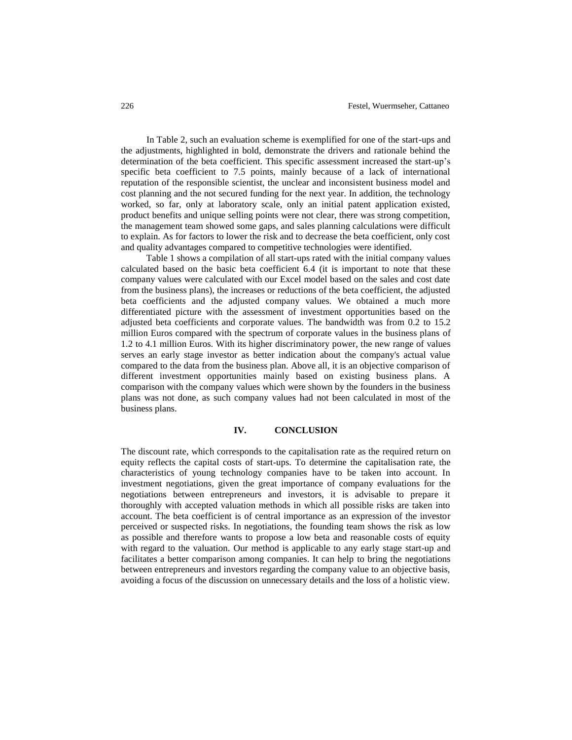In Table 2, such an evaluation scheme is exemplified for one of the start-ups and the adjustments, highlighted in bold, demonstrate the drivers and rationale behind the determination of the beta coefficient. This specific assessment increased the start-up's specific beta coefficient to 7.5 points, mainly because of a lack of international reputation of the responsible scientist, the unclear and inconsistent business model and cost planning and the not secured funding for the next year. In addition, the technology worked, so far, only at laboratory scale, only an initial patent application existed, product benefits and unique selling points were not clear, there was strong competition, the management team showed some gaps, and sales planning calculations were difficult to explain. As for factors to lower the risk and to decrease the beta coefficient, only cost and quality advantages compared to competitive technologies were identified.

Table 1 shows a compilation of all start-ups rated with the initial company values calculated based on the basic beta coefficient 6.4 (it is important to note that these company values were calculated with our Excel model based on the sales and cost date from the business plans), the increases or reductions of the beta coefficient, the adjusted beta coefficients and the adjusted company values. We obtained a much more differentiated picture with the assessment of investment opportunities based on the adjusted beta coefficients and corporate values. The bandwidth was from 0.2 to 15.2 million Euros compared with the spectrum of corporate values in the business plans of 1.2 to 4.1 million Euros. With its higher discriminatory power, the new range of values serves an early stage investor as better indication about the company's actual value compared to the data from the business plan. Above all, it is an objective comparison of different investment opportunities mainly based on existing business plans. A comparison with the company values which were shown by the founders in the business plans was not done, as such company values had not been calculated in most of the business plans.

#### **IV. CONCLUSION**

The discount rate, which corresponds to the capitalisation rate as the required return on equity reflects the capital costs of start-ups. To determine the capitalisation rate, the characteristics of young technology companies have to be taken into account. In investment negotiations, given the great importance of company evaluations for the negotiations between entrepreneurs and investors, it is advisable to prepare it thoroughly with accepted valuation methods in which all possible risks are taken into account. The beta coefficient is of central importance as an expression of the investor perceived or suspected risks. In negotiations, the founding team shows the risk as low as possible and therefore wants to propose a low beta and reasonable costs of equity with regard to the valuation. Our method is applicable to any early stage start-up and facilitates a better comparison among companies. It can help to bring the negotiations between entrepreneurs and investors regarding the company value to an objective basis, avoiding a focus of the discussion on unnecessary details and the loss of a holistic view.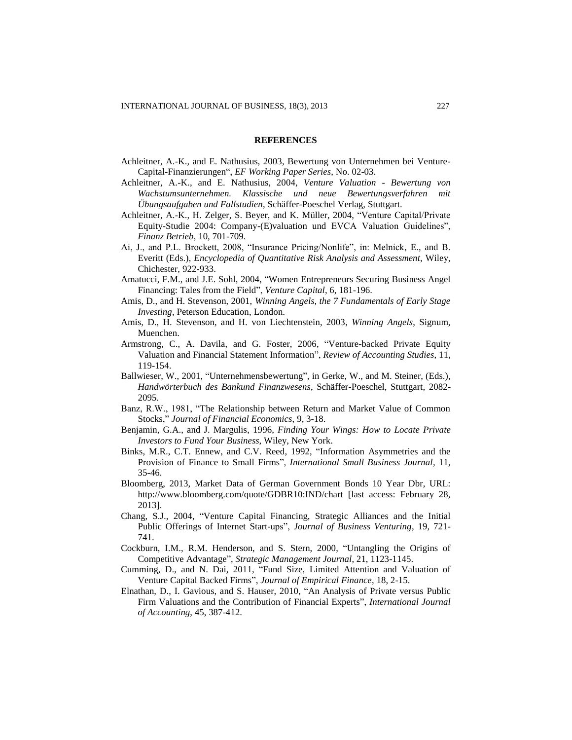#### **REFERENCES**

- Achleitner, A.-K., and E. Nathusius, 2003, Bewertung von Unternehmen bei Venture-Capital-Finanzierungen", *EF Working Paper Series*, No. 02-03.
- Achleitner, A.-K., and E. Nathusius, 2004, *Venture Valuation - Bewertung von Wachstumsunternehmen. Klassische und neue Bewertungsverfahren mit Übungsaufgaben und Fallstudien*, Schäffer-Poeschel Verlag, Stuttgart.
- Achleitner, A.-K., H. Zelger, S. Beyer, and K. Müller, 2004, "Venture Capital/Private Equity-Studie 2004: Company-(E)valuation und EVCA Valuation Guidelines", *Finanz Betrieb*, 10, 701-709.
- Ai, J., and P.L. Brockett, 2008, "Insurance Pricing/Nonlife", in: Melnick, E., and B. Everitt (Eds.), *Encyclopedia of Quantitative Risk Analysis and Assessment*, Wiley, Chichester, 922-933.
- Amatucci, F.M., and J.E. Sohl, 2004, "Women Entrepreneurs Securing Business Angel Financing: Tales from the Field", *Venture Capital*, 6, 181-196.
- Amis, D., and H. Stevenson, 2001, *Winning Angels, the 7 Fundamentals of Early Stage Investing*, Peterson Education, London.
- Amis, D., H. Stevenson, and H. von Liechtenstein, 2003, *Winning Angels*, Signum, Muenchen.
- Armstrong, C., A. Davila, and G. Foster, 2006, "Venture-backed Private Equity Valuation and Financial Statement Information", *Review of Accounting Studies*, 11, 119-154.
- Ballwieser, W., 2001, "Unternehmensbewertung", in Gerke, W., and M. Steiner, (Eds.), *Handwörterbuch des Bankund Finanzwesens*, Schäffer-Poeschel, Stuttgart, 2082- 2095.
- Banz, R.W., 1981, "The Relationship between Return and Market Value of Common Stocks," *Journal of Financial Economics*, 9, 3-18.
- Benjamin, G.A., and J. Margulis, 1996, *Finding Your Wings: How to Locate Private Investors to Fund Your Business*, Wiley, New York.
- Binks, M.R., C.T. Ennew, and C.V. Reed, 1992, "Information Asymmetries and the Provision of Finance to Small Firms", *International Small Business Journal,* 11, 35-46.
- Bloomberg, 2013, Market Data of German Government Bonds 10 Year Dbr, URL: http://www.bloomberg.com/quote/GDBR10:IND/chart [last access: February 28, 2013].
- Chang, S.J., 2004, "Venture Capital Financing, Strategic Alliances and the Initial Public Offerings of Internet Start-ups", *Journal of Business Venturing*, 19, 721- 741.
- Cockburn, I.M., R.M. Henderson, and S. Stern, 2000, "Untangling the Origins of Competitive Advantage", *Strategic Management Journal*, 21, 1123-1145.
- Cumming, D., and N. Dai, 2011, "Fund Size, Limited Attention and Valuation of Venture Capital Backed Firms", *Journal of Empirical Finance*, 18, 2-15.
- Elnathan, D., I. Gavious, and S. Hauser, 2010, "An Analysis of Private versus Public Firm Valuations and the Contribution of Financial Experts", *International Journal of Accounting*, 45, 387-412.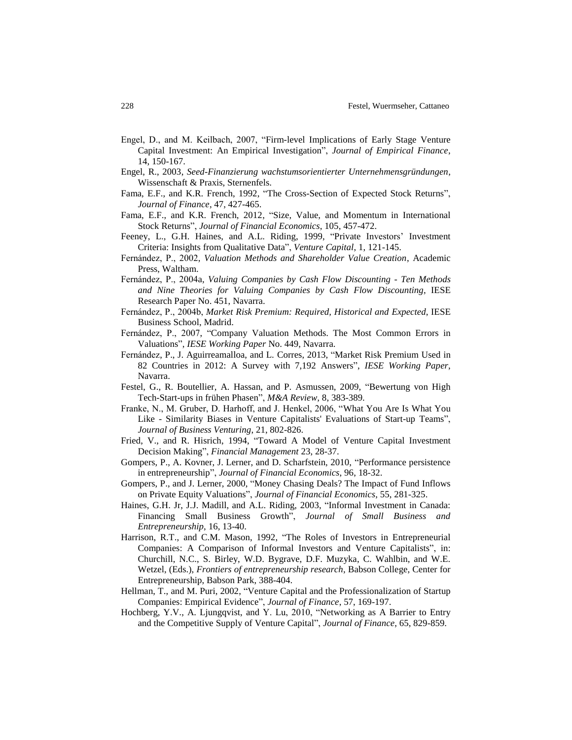- Engel, D., and M. Keilbach, 2007, "Firm-level Implications of Early Stage Venture Capital Investment: An Empirical Investigation", *Journal of Empirical Finance*, 14, 150-167.
- Engel, R., 2003, *Seed-Finanzierung wachstumsorientierter Unternehmensgründungen*, Wissenschaft & Praxis, Sternenfels.
- Fama, E.F., and K.R. French, 1992, "The Cross-Section of Expected Stock Returns", *Journal of Finance*, 47, 427-465.
- Fama, E.F., and K.R. French, 2012, "Size, Value, and Momentum in International Stock Returns", *Journal of Financial Economics*, 105, 457-472.
- Feeney, L., G.H. Haines, and A.L. Riding, 1999, "Private Investors' Investment Criteria: Insights from Qualitative Data", *Venture Capital*, 1, 121-145.
- ern nde , P., 2002, *Valuation Methods and Shareholder Value Creation*, Academic Press, Waltham.
- ern nde , P., 200 a, *Valuing Companies by Cash Flow Discounting - Ten Methods and Nine Theories for Valuing Companies by Cash Flow Discounting*, IESE Research Paper No. 451, Navarra.
- ern nde , P., 200 b, *Market Risk Premium: Required, Historical and Expected*, IESE Business School, Madrid.
- Fernández, P., 2007, "Company Valuation Methods. The Most Common Errors in Valuations", *IESE Working Paper* No. 449, Navarra.
- Fernández, P., J. Aguirreamalloa, and L. Corres, 2013, "Market Risk Premium Used in 82 Countries in 2012: A Survey with 7,192 Answers", *IESE Working Paper*, Navarra.
- Festel, G., R. Boutellier, A. Hassan, and P. Asmussen, 2009, "Bewertung von High Tech-Start-ups in frühen Phasen", *M&A Review,* 8, 383-389.
- Franke, N., M. Gruber, D. Harhoff, and J. Henkel, 2006, "What You Are Is What You Like - Similarity Biases in Venture Capitalists' Evaluations of Start-up Teams", *Journal of Business Venturing*, 21, 802-826.
- Fried, V., and R. Hisrich, 1994, "Toward A Model of Venture Capital Investment Decision Making", *Financial Management* 23, 28-37.
- Gompers, P., A. Kovner, J. Lerner, and D. Scharfstein, 2010, "Performance persistence in entrepreneurship", *Journal of Financial Economics*, 96, 18-32.
- Gompers, P., and J. Lerner, 2000, "Money Chasing Deals? The Impact of Fund Inflows on Private Equity Valuations", *Journal of Financial Economics*, 55, 281-325.
- Haines, G.H. Jr, J.J. Madill, and A.L. Riding, 2003, "Informal Investment in Canada: Financing Small Business Growth", *Journal of Small Business and Entrepreneurship*, 16, 13-40.
- Harrison, R.T., and C.M. Mason, 1992, "The Roles of Investors in Entrepreneurial Companies: A Comparison of Informal Investors and Venture Capitalists", in: Churchill, N.C., S. Birley, W.D. Bygrave, D.F. Muzyka, C. Wahlbin, and W.E. Wetzel, (Eds.), *Frontiers of entrepreneurship research*, Babson College, Center for Entrepreneurship, Babson Park, 388-404.
- Hellman, T., and M. Puri, 2002, "Venture Capital and the Professionalization of Startup Companies: Empirical Evidence", *Journal of Finance*, 57, 169-197.
- Hochberg, Y.V., A. Ljungqvist, and Y. Lu, 2010, "Networking as A Barrier to Entry and the Competitive Supply of Venture Capital", *Journal of Finance*, 65, 829-859.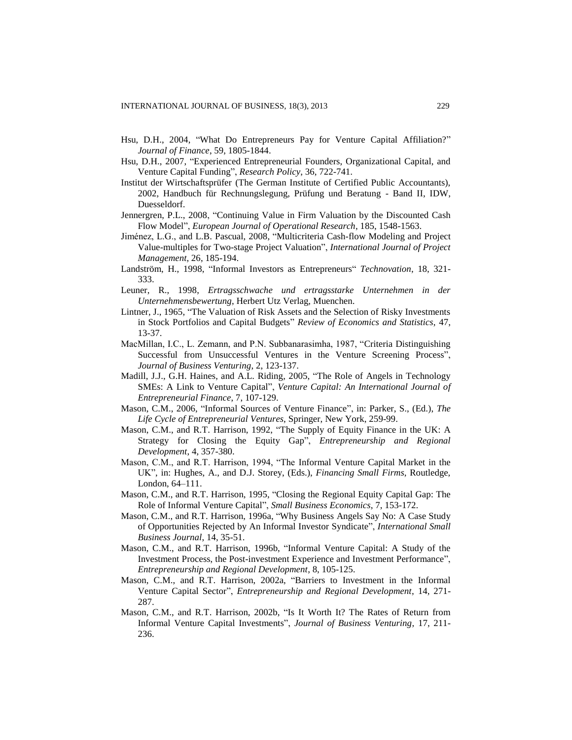- Hsu, D.H., 2004, "What Do Entrepreneurs Pay for Venture Capital Affiliation?" *Journal of Finance*, 59, 1805-1844.
- Hsu, D.H., 2007, "Experienced Entrepreneurial Founders, Organizational Capital, and Venture Capital Funding", *Research Policy*, 36, 722-741.
- Institut der Wirtschaftsprüfer (The German Institute of Certified Public Accountants), 2002, Handbuch für Rechnungslegung, Prüfung und Beratung - Band II, IDW, Duesseldorf.
- Jennergren, P.L., 2008, "Continuing Value in Firm Valuation by the Discounted Cash Flow Model", *European Journal of Operational Research*, 185, 1548-1563.
- Jiménez, L.G., and L.B. Pascual, 2008, "Multicriteria Cash-flow Modeling and Project Value-multiples for Two-stage Project Valuation", *International Journal of Project Management*, 26, 185-194.
- Landström, H., 1998, "Informal Investors as Entrepreneurs" *Technovation*, 18, 321- 333.
- Leuner, R., 1998, *Ertragsschwache und ertragsstarke Unternehmen in der Unternehmensbewertung*, Herbert Utz Verlag, Muenchen.
- Lintner, J., 1965, "The Valuation of Risk Assets and the Selection of Risky Investments in Stock Portfolios and Capital Budgets" *Review of Economics and Statistics*, 47, 13-37.
- MacMillan, I.C., L. Zemann, and P.N. Subbanarasimha, 1987, "Criteria Distinguishing Successful from Unsuccessful Ventures in the Venture Screening Process", *Journal of Business Venturing*, 2, 123-137.
- Madill, J.J., G.H. Haines, and A.L. Riding, 2005, "The Role of Angels in Technology SMEs: A Link to Venture Capital", *Venture Capital: An International Journal of Entrepreneurial Finance*, 7, 107-129.
- Mason, C.M., 2006, "Informal Sources of Venture Finance", in: Parker, S., (Ed.), *The Life Cycle of Entrepreneurial Ventures*, Springer, New York, 259-99.
- Mason, C.M., and R.T. Harrison, 1992, "The Supply of Equity Finance in the UK: A Strategy for Closing the Equity Gap", *Entrepreneurship and Regional Development*, 4, 357-380.
- Mason, C.M., and R.T. Harrison, 1994, "The Informal Venture Capital Market in the UK", in: Hughes, A., and D.J. Storey, (Eds.), *Financing Small Firms*, Routledge, London, 64–111.
- Mason, C.M., and R.T. Harrison, 1995, "Closing the Regional Equity Capital Gap: The Role of Informal Venture Capital", *Small Business Economics*, 7, 153-172.
- Mason, C.M., and R.T. Harrison, 1996a, "Why Business Angels Say No: A Case Study of Opportunities Rejected by An Informal Investor Syndicate", *International Small Business Journal*, 14, 35-51.
- Mason, C.M., and R.T. Harrison, 1996b, "Informal Venture Capital: A Study of the Investment Process, the Post-investment Experience and Investment Performance", *Entrepreneurship and Regional Development*, 8, 105-125.
- Mason, C.M., and R.T. Harrison, 2002a, "Barriers to Investment in the Informal Venture Capital Sector", *Entrepreneurship and Regional Development*, 14, 271- 287.
- Mason, C.M., and R.T. Harrison, 2002b, "Is It Worth It? The Rates of Return from Informal Venture Capital Investments", *Journal of Business Venturing*, 17, 211- 236.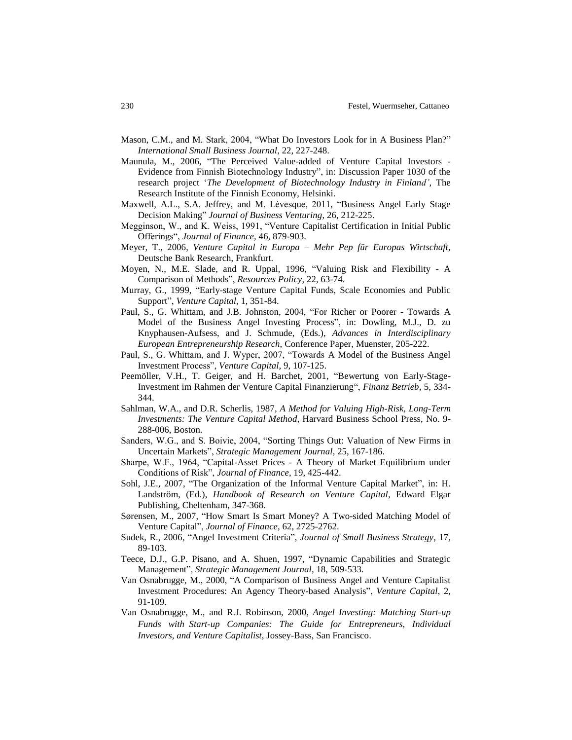- Mason, C.M., and M. Stark, 2004, "What Do Investors Look for in A Business Plan?" *International Small Business Journal*, 22, 227-248.
- Maunula, M., 2006, "The Perceived Value-added of Venture Capital Investors Evidence from Finnish Biotechnology Industry", in: Discussion Paper 1030 of the research project '*The Development of Biotechnology Industry in Finland'*, The Research Institute of the Finnish Economy, Helsinki.
- Maxwell, A.L., S.A. Jeffrey, and M. Lévesque, 2011, "Business Angel Early Stage Decision Making" *Journal of Business Venturing*, 26, 212-225.
- Megginson, W., and K. Weiss, 1991, "Venture Capitalist Certification in Initial Public Offerings", *Journal of Finance*, 46, 879-903.
- Meyer, T., 2006, *Venture Capital in Europa – Mehr Pep für Europas Wirtschaft*, Deutsche Bank Research, Frankfurt.
- Moyen, N., M.E. Slade, and R. Uppal, 1996, "Valuing Risk and Flexibility A Comparison of Methods", *Resources Policy*, 22, 63-74.
- Murray, G., 1999, "Early-stage Venture Capital Funds, Scale Economies and Public Support", *Venture Capital*, 1, 351-84.
- Paul, S., G. Whittam, and J.B. Johnston, 2004, "For Richer or Poorer Towards A Model of the Business Angel Investing Process", in: Dowling, M.J., D. zu Knyphausen-Aufsess, and J. Schmude, (Eds.), *Advances in Interdisciplinary European Entrepreneurship Research*, Conference Paper, Muenster, 205-222.
- Paul, S., G. Whittam, and J. Wyper, 2007, "Towards A Model of the Business Angel Investment Process", *Venture Capital*, 9, 107-125.
- Peemöller, V.H., T. Geiger, and H. Barchet, 2001, "Bewertung von Early-Stage-Investment im Rahmen der Venture Capital Finanzierung", *Finanz Betrieb*, 5, 334- 344.
- Sahlman, W.A., and D.R. Scherlis, 1987, *A Method for Valuing High-Risk, Long-Term Investments: The Venture Capital Method*, Harvard Business School Press, No. 9- 288-006, Boston.
- Sanders, W.G., and S. Boivie, 2004, "Sorting Things Out: Valuation of New Firms in Uncertain Markets", *Strategic Management Journal*, 25, 167-186.
- Sharpe, W.F., 1964, "Capital-Asset Prices A Theory of Market Equilibrium under Conditions of Risk", *Journal of Finance*, 19, 425-442.
- Sohl, J.E., 2007, "The Organization of the Informal Venture Capital Market", in: H. Landström, (Ed.), *Handbook of Research on Venture Capital*, Edward Elgar Publishing, Cheltenham, 347-368.
- Sørensen, M., 2007, "How Smart Is Smart Money? A Two-sided Matching Model of Venture Capital", *Journal of Finance*, 62, 2725-2762.
- Sudek, R., 2006, "Angel Investment Criteria", *Journal of Small Business Strategy*, 17, 89-103.
- Teece, D.J., G.P. Pisano, and A. Shuen, 1997, "Dynamic Capabilities and Strategic Management", *Strategic Management Journal*, 18, 509-533.
- Van Osnabrugge, M., 2000, "A Comparison of Business Angel and Venture Capitalist Investment Procedures: An Agency Theory-based Analysis", *Venture Capital*, 2, 91-109.
- Van Osnabrugge, M., and R.J. Robinson, 2000, *Angel Investing: Matching Start-up Funds with Start-up Companies: The Guide for Entrepreneurs, Individual Investors, and Venture Capitalist*, Jossey-Bass, San Francisco.